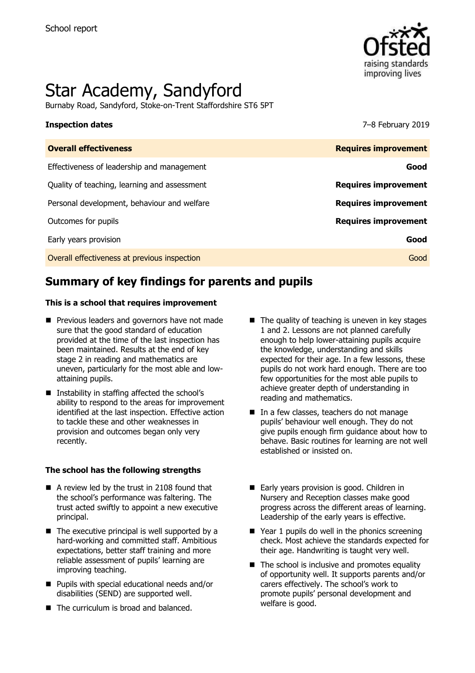

# Star Academy, Sandyford

Burnaby Road, Sandyford, Stoke-on-Trent Staffordshire ST6 5PT

#### **Inspection dates** 7–8 February 2019

| <b>Overall effectiveness</b>                 | <b>Requires improvement</b> |
|----------------------------------------------|-----------------------------|
| Effectiveness of leadership and management   | Good                        |
| Quality of teaching, learning and assessment | <b>Requires improvement</b> |
| Personal development, behaviour and welfare  | <b>Requires improvement</b> |
| Outcomes for pupils                          | <b>Requires improvement</b> |
| Early years provision                        | Good                        |
| Overall effectiveness at previous inspection | Good                        |
|                                              |                             |

# **Summary of key findings for parents and pupils**

#### **This is a school that requires improvement**

- **Previous leaders and governors have not made** sure that the good standard of education provided at the time of the last inspection has been maintained. Results at the end of key stage 2 in reading and mathematics are uneven, particularly for the most able and lowattaining pupils.
- Instability in staffing affected the school's ability to respond to the areas for improvement identified at the last inspection. Effective action to tackle these and other weaknesses in provision and outcomes began only very recently.

#### **The school has the following strengths**

- A review led by the trust in 2108 found that the school's performance was faltering. The trust acted swiftly to appoint a new executive principal.
- $\blacksquare$  The executive principal is well supported by a hard-working and committed staff. Ambitious expectations, better staff training and more reliable assessment of pupils' learning are improving teaching.
- **Pupils with special educational needs and/or** disabilities (SEND) are supported well.
- The curriculum is broad and balanced.
- $\blacksquare$  The quality of teaching is uneven in key stages 1 and 2. Lessons are not planned carefully enough to help lower-attaining pupils acquire the knowledge, understanding and skills expected for their age. In a few lessons, these pupils do not work hard enough. There are too few opportunities for the most able pupils to achieve greater depth of understanding in reading and mathematics.
- In a few classes, teachers do not manage pupils' behaviour well enough. They do not give pupils enough firm guidance about how to behave. Basic routines for learning are not well established or insisted on.
- Early years provision is good. Children in Nursery and Reception classes make good progress across the different areas of learning. Leadership of the early years is effective.
- $\blacksquare$  Year 1 pupils do well in the phonics screening check. Most achieve the standards expected for their age. Handwriting is taught very well.
- $\blacksquare$  The school is inclusive and promotes equality of opportunity well. It supports parents and/or carers effectively. The school's work to promote pupils' personal development and welfare is good.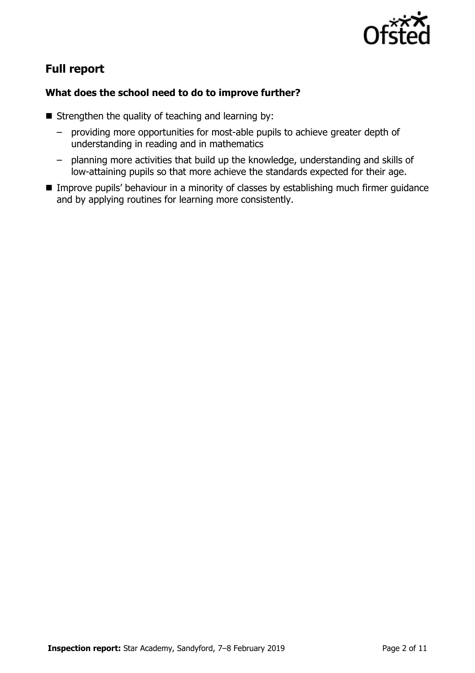

# **Full report**

### **What does the school need to do to improve further?**

- Strengthen the quality of teaching and learning by:
	- providing more opportunities for most-able pupils to achieve greater depth of understanding in reading and in mathematics
	- planning more activities that build up the knowledge, understanding and skills of low-attaining pupils so that more achieve the standards expected for their age.
- **IMPROVE PUPILS' behaviour in a minority of classes by establishing much firmer guidance** and by applying routines for learning more consistently.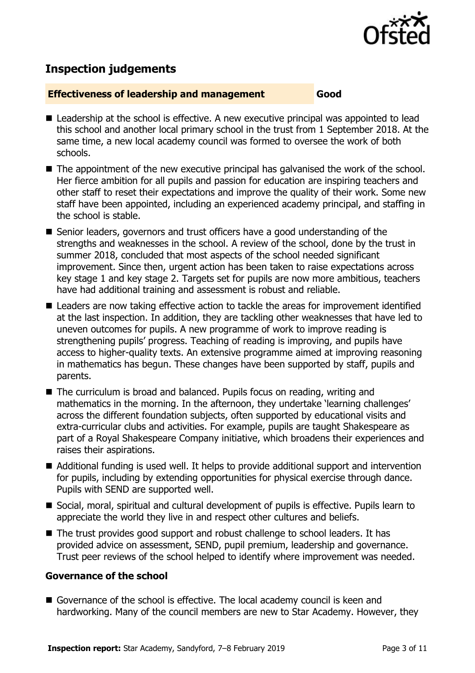

# **Inspection judgements**

#### **Effectiveness of leadership and management Good**

- Leadership at the school is effective. A new executive principal was appointed to lead this school and another local primary school in the trust from 1 September 2018. At the same time, a new local academy council was formed to oversee the work of both schools.
- The appointment of the new executive principal has galvanised the work of the school. Her fierce ambition for all pupils and passion for education are inspiring teachers and other staff to reset their expectations and improve the quality of their work. Some new staff have been appointed, including an experienced academy principal, and staffing in the school is stable.
- Senior leaders, governors and trust officers have a good understanding of the strengths and weaknesses in the school. A review of the school, done by the trust in summer 2018, concluded that most aspects of the school needed significant improvement. Since then, urgent action has been taken to raise expectations across key stage 1 and key stage 2. Targets set for pupils are now more ambitious, teachers have had additional training and assessment is robust and reliable.
- Leaders are now taking effective action to tackle the areas for improvement identified at the last inspection. In addition, they are tackling other weaknesses that have led to uneven outcomes for pupils. A new programme of work to improve reading is strengthening pupils' progress. Teaching of reading is improving, and pupils have access to higher-quality texts. An extensive programme aimed at improving reasoning in mathematics has begun. These changes have been supported by staff, pupils and parents.
- The curriculum is broad and balanced. Pupils focus on reading, writing and mathematics in the morning. In the afternoon, they undertake 'learning challenges' across the different foundation subjects, often supported by educational visits and extra-curricular clubs and activities. For example, pupils are taught Shakespeare as part of a Royal Shakespeare Company initiative, which broadens their experiences and raises their aspirations.
- Additional funding is used well. It helps to provide additional support and intervention for pupils, including by extending opportunities for physical exercise through dance. Pupils with SEND are supported well.
- Social, moral, spiritual and cultural development of pupils is effective. Pupils learn to appreciate the world they live in and respect other cultures and beliefs.
- The trust provides good support and robust challenge to school leaders. It has provided advice on assessment, SEND, pupil premium, leadership and governance. Trust peer reviews of the school helped to identify where improvement was needed.

#### **Governance of the school**

Governance of the school is effective. The local academy council is keen and hardworking. Many of the council members are new to Star Academy. However, they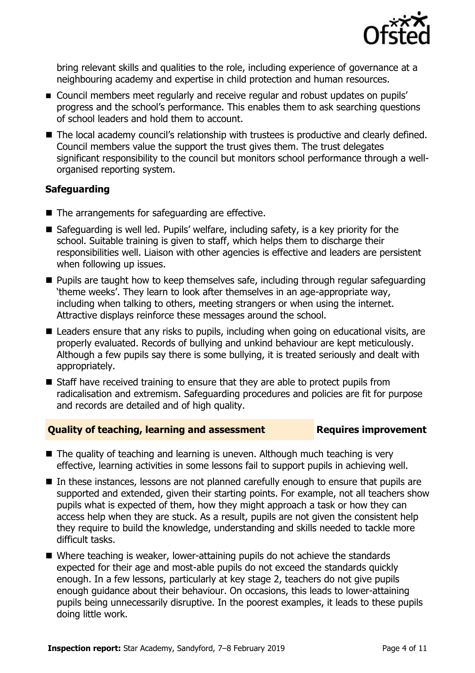

bring relevant skills and qualities to the role, including experience of governance at a neighbouring academy and expertise in child protection and human resources.

- Council members meet regularly and receive regular and robust updates on pupils' progress and the school's performance. This enables them to ask searching questions of school leaders and hold them to account.
- The local academy council's relationship with trustees is productive and clearly defined. Council members value the support the trust gives them. The trust delegates significant responsibility to the council but monitors school performance through a wellorganised reporting system.

### **Safeguarding**

- The arrangements for safeguarding are effective.
- Safeguarding is well led. Pupils' welfare, including safety, is a key priority for the school. Suitable training is given to staff, which helps them to discharge their responsibilities well. Liaison with other agencies is effective and leaders are persistent when following up issues.
- **Pupils are taught how to keep themselves safe, including through regular safeguarding** 'theme weeks'. They learn to look after themselves in an age-appropriate way, including when talking to others, meeting strangers or when using the internet. Attractive displays reinforce these messages around the school.
- Leaders ensure that any risks to pupils, including when going on educational visits, are properly evaluated. Records of bullying and unkind behaviour are kept meticulously. Although a few pupils say there is some bullying, it is treated seriously and dealt with appropriately.
- $\blacksquare$  Staff have received training to ensure that they are able to protect pupils from radicalisation and extremism. Safeguarding procedures and policies are fit for purpose and records are detailed and of high quality.

#### **Quality of teaching, learning and assessment France Requires improvement**

- $\blacksquare$  The quality of teaching and learning is uneven. Although much teaching is very effective, learning activities in some lessons fail to support pupils in achieving well.
- In these instances, lessons are not planned carefully enough to ensure that pupils are supported and extended, given their starting points. For example, not all teachers show pupils what is expected of them, how they might approach a task or how they can access help when they are stuck. As a result, pupils are not given the consistent help they require to build the knowledge, understanding and skills needed to tackle more difficult tasks.
- Where teaching is weaker, lower-attaining pupils do not achieve the standards expected for their age and most-able pupils do not exceed the standards quickly enough. In a few lessons, particularly at key stage 2, teachers do not give pupils enough guidance about their behaviour. On occasions, this leads to lower-attaining pupils being unnecessarily disruptive. In the poorest examples, it leads to these pupils doing little work.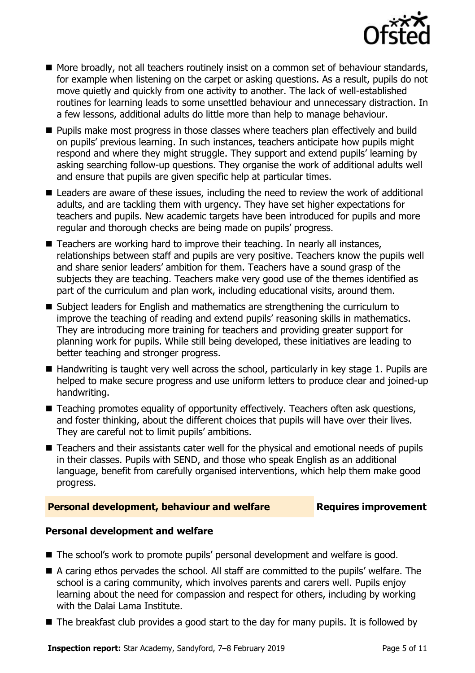

- More broadly, not all teachers routinely insist on a common set of behaviour standards, for example when listening on the carpet or asking questions. As a result, pupils do not move quietly and quickly from one activity to another. The lack of well-established routines for learning leads to some unsettled behaviour and unnecessary distraction. In a few lessons, additional adults do little more than help to manage behaviour.
- **Pupils make most progress in those classes where teachers plan effectively and build** on pupils' previous learning. In such instances, teachers anticipate how pupils might respond and where they might struggle. They support and extend pupils' learning by asking searching follow-up questions. They organise the work of additional adults well and ensure that pupils are given specific help at particular times.
- Leaders are aware of these issues, including the need to review the work of additional adults, and are tackling them with urgency. They have set higher expectations for teachers and pupils. New academic targets have been introduced for pupils and more regular and thorough checks are being made on pupils' progress.
- Teachers are working hard to improve their teaching. In nearly all instances, relationships between staff and pupils are very positive. Teachers know the pupils well and share senior leaders' ambition for them. Teachers have a sound grasp of the subjects they are teaching. Teachers make very good use of the themes identified as part of the curriculum and plan work, including educational visits, around them.
- Subject leaders for English and mathematics are strengthening the curriculum to improve the teaching of reading and extend pupils' reasoning skills in mathematics. They are introducing more training for teachers and providing greater support for planning work for pupils. While still being developed, these initiatives are leading to better teaching and stronger progress.
- $\blacksquare$  Handwriting is taught very well across the school, particularly in key stage 1. Pupils are helped to make secure progress and use uniform letters to produce clear and joined-up handwriting.
- Teaching promotes equality of opportunity effectively. Teachers often ask questions, and foster thinking, about the different choices that pupils will have over their lives. They are careful not to limit pupils' ambitions.
- Teachers and their assistants cater well for the physical and emotional needs of pupils in their classes. Pupils with SEND, and those who speak English as an additional language, benefit from carefully organised interventions, which help them make good progress.

### **Personal development, behaviour and welfare Fig. 2.1 Requires improvement**

### **Personal development and welfare**

- The school's work to promote pupils' personal development and welfare is good.
- A caring ethos pervades the school. All staff are committed to the pupils' welfare. The school is a caring community, which involves parents and carers well. Pupils enjoy learning about the need for compassion and respect for others, including by working with the Dalai Lama Institute.
- The breakfast club provides a good start to the day for many pupils. It is followed by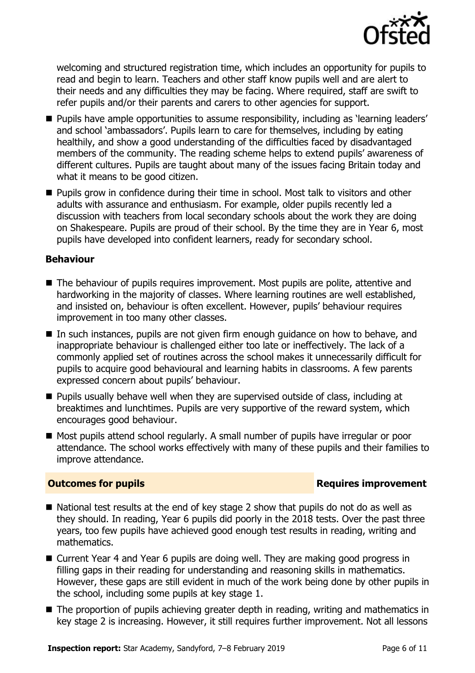

welcoming and structured registration time, which includes an opportunity for pupils to read and begin to learn. Teachers and other staff know pupils well and are alert to their needs and any difficulties they may be facing. Where required, staff are swift to refer pupils and/or their parents and carers to other agencies for support.

- **Pupils have ample opportunities to assume responsibility, including as 'learning leaders'** and school 'ambassadors'. Pupils learn to care for themselves, including by eating healthily, and show a good understanding of the difficulties faced by disadvantaged members of the community. The reading scheme helps to extend pupils' awareness of different cultures. Pupils are taught about many of the issues facing Britain today and what it means to be good citizen.
- **Pupils grow in confidence during their time in school. Most talk to visitors and other** adults with assurance and enthusiasm. For example, older pupils recently led a discussion with teachers from local secondary schools about the work they are doing on Shakespeare. Pupils are proud of their school. By the time they are in Year 6, most pupils have developed into confident learners, ready for secondary school.

#### **Behaviour**

- The behaviour of pupils requires improvement. Most pupils are polite, attentive and hardworking in the majority of classes. Where learning routines are well established, and insisted on, behaviour is often excellent. However, pupils' behaviour requires improvement in too many other classes.
- In such instances, pupils are not given firm enough guidance on how to behave, and inappropriate behaviour is challenged either too late or ineffectively. The lack of a commonly applied set of routines across the school makes it unnecessarily difficult for pupils to acquire good behavioural and learning habits in classrooms. A few parents expressed concern about pupils' behaviour.
- **Pupils usually behave well when they are supervised outside of class, including at** breaktimes and lunchtimes. Pupils are very supportive of the reward system, which encourages good behaviour.
- Most pupils attend school regularly. A small number of pupils have irregular or poor attendance. The school works effectively with many of these pupils and their families to improve attendance.

### **Outcomes for pupils Requires improvement**

- National test results at the end of key stage 2 show that pupils do not do as well as they should. In reading, Year 6 pupils did poorly in the 2018 tests. Over the past three years, too few pupils have achieved good enough test results in reading, writing and mathematics.
- Current Year 4 and Year 6 pupils are doing well. They are making good progress in filling gaps in their reading for understanding and reasoning skills in mathematics. However, these gaps are still evident in much of the work being done by other pupils in the school, including some pupils at key stage 1.
- The proportion of pupils achieving greater depth in reading, writing and mathematics in key stage 2 is increasing. However, it still requires further improvement. Not all lessons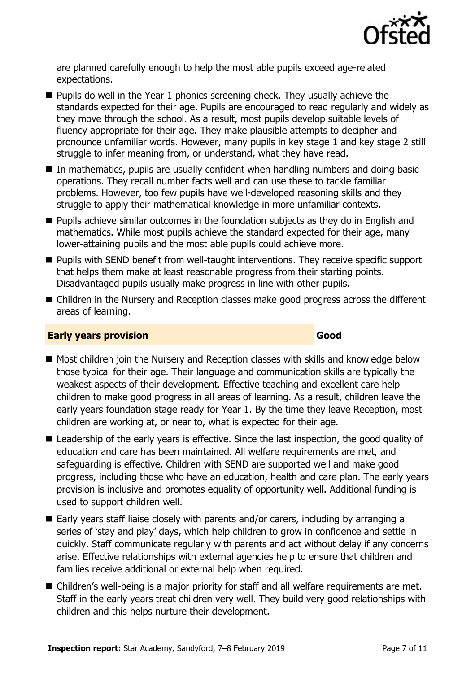

are planned carefully enough to help the most able pupils exceed age-related expectations.

- **Pupils do well in the Year 1 phonics screening check. They usually achieve the** standards expected for their age. Pupils are encouraged to read regularly and widely as they move through the school. As a result, most pupils develop suitable levels of fluency appropriate for their age. They make plausible attempts to decipher and pronounce unfamiliar words. However, many pupils in key stage 1 and key stage 2 still struggle to infer meaning from, or understand, what they have read.
- In mathematics, pupils are usually confident when handling numbers and doing basic operations. They recall number facts well and can use these to tackle familiar problems. However, too few pupils have well-developed reasoning skills and they struggle to apply their mathematical knowledge in more unfamiliar contexts.
- **Pupils achieve similar outcomes in the foundation subjects as they do in English and** mathematics. While most pupils achieve the standard expected for their age, many lower-attaining pupils and the most able pupils could achieve more.
- **Pupils with SEND benefit from well-taught interventions. They receive specific support** that helps them make at least reasonable progress from their starting points. Disadvantaged pupils usually make progress in line with other pupils.
- Children in the Nursery and Reception classes make good progress across the different areas of learning.

#### **Early years provision Good Good**

- Most children join the Nursery and Reception classes with skills and knowledge below those typical for their age. Their language and communication skills are typically the weakest aspects of their development. Effective teaching and excellent care help children to make good progress in all areas of learning. As a result, children leave the early years foundation stage ready for Year 1. By the time they leave Reception, most children are working at, or near to, what is expected for their age.
- **E** Leadership of the early years is effective. Since the last inspection, the good quality of education and care has been maintained. All welfare requirements are met, and safeguarding is effective. Children with SEND are supported well and make good progress, including those who have an education, health and care plan. The early years provision is inclusive and promotes equality of opportunity well. Additional funding is used to support children well.
- $\blacksquare$  Early years staff liaise closely with parents and/or carers, including by arranging a series of 'stay and play' days, which help children to grow in confidence and settle in quickly. Staff communicate regularly with parents and act without delay if any concerns arise. Effective relationships with external agencies help to ensure that children and families receive additional or external help when required.
- Children's well-being is a major priority for staff and all welfare requirements are met. Staff in the early years treat children very well. They build very good relationships with children and this helps nurture their development.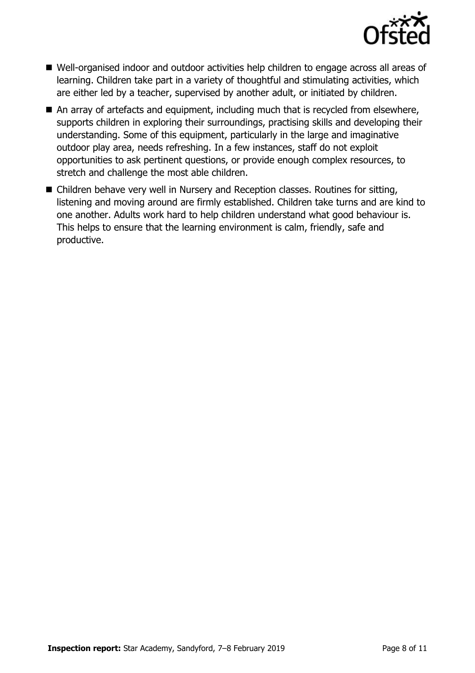

- Well-organised indoor and outdoor activities help children to engage across all areas of learning. Children take part in a variety of thoughtful and stimulating activities, which are either led by a teacher, supervised by another adult, or initiated by children.
- An array of artefacts and equipment, including much that is recycled from elsewhere, supports children in exploring their surroundings, practising skills and developing their understanding. Some of this equipment, particularly in the large and imaginative outdoor play area, needs refreshing. In a few instances, staff do not exploit opportunities to ask pertinent questions, or provide enough complex resources, to stretch and challenge the most able children.
- Children behave very well in Nursery and Reception classes. Routines for sitting, listening and moving around are firmly established. Children take turns and are kind to one another. Adults work hard to help children understand what good behaviour is. This helps to ensure that the learning environment is calm, friendly, safe and productive.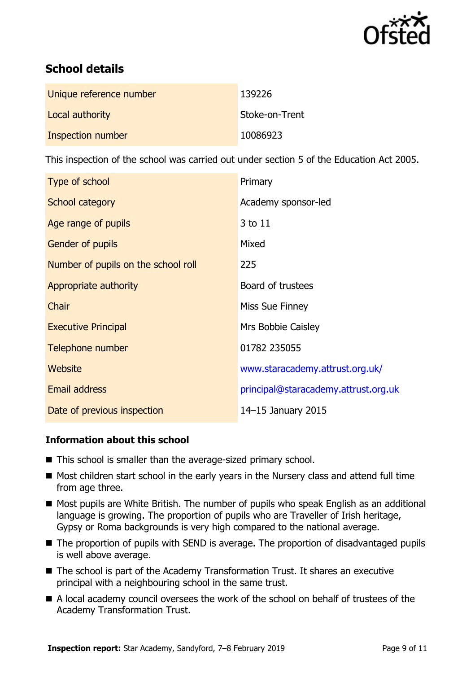

# **School details**

| Unique reference number | 139226         |
|-------------------------|----------------|
| Local authority         | Stoke-on-Trent |
| Inspection number       | 10086923       |

This inspection of the school was carried out under section 5 of the Education Act 2005.

| Type of school                      | Primary                              |
|-------------------------------------|--------------------------------------|
| School category                     | Academy sponsor-led                  |
| Age range of pupils                 | 3 to 11                              |
| <b>Gender of pupils</b>             | Mixed                                |
| Number of pupils on the school roll | 225                                  |
| Appropriate authority               | Board of trustees                    |
| Chair                               | Miss Sue Finney                      |
| <b>Executive Principal</b>          | Mrs Bobbie Caisley                   |
| Telephone number                    | 01782 235055                         |
| Website                             | www.staracademy.attrust.org.uk/      |
| <b>Email address</b>                | principal@staracademy.attrust.org.uk |
| Date of previous inspection         | 14-15 January 2015                   |

### **Information about this school**

- This school is smaller than the average-sized primary school.
- Most children start school in the early years in the Nursery class and attend full time from age three.
- Most pupils are White British. The number of pupils who speak English as an additional language is growing. The proportion of pupils who are Traveller of Irish heritage, Gypsy or Roma backgrounds is very high compared to the national average.
- The proportion of pupils with SEND is average. The proportion of disadvantaged pupils is well above average.
- The school is part of the Academy Transformation Trust. It shares an executive principal with a neighbouring school in the same trust.
- A local academy council oversees the work of the school on behalf of trustees of the Academy Transformation Trust.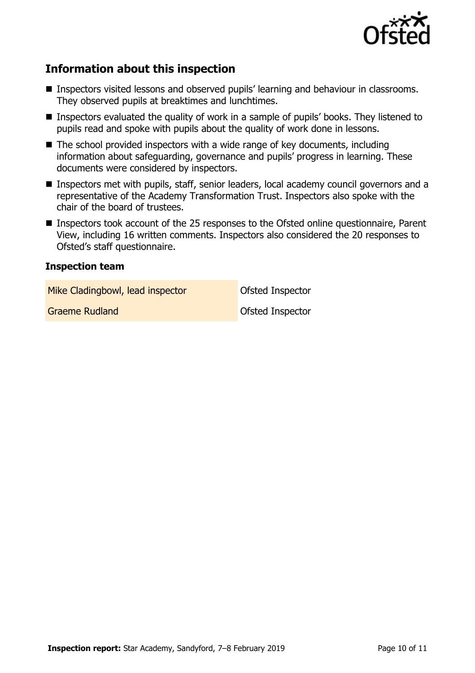

## **Information about this inspection**

- Inspectors visited lessons and observed pupils' learning and behaviour in classrooms. They observed pupils at breaktimes and lunchtimes.
- Inspectors evaluated the quality of work in a sample of pupils' books. They listened to pupils read and spoke with pupils about the quality of work done in lessons.
- $\blacksquare$  The school provided inspectors with a wide range of key documents, including information about safeguarding, governance and pupils' progress in learning. These documents were considered by inspectors.
- **Inspectors met with pupils, staff, senior leaders, local academy council governors and a** representative of the Academy Transformation Trust. Inspectors also spoke with the chair of the board of trustees.
- Inspectors took account of the 25 responses to the Ofsted online questionnaire, Parent View, including 16 written comments. Inspectors also considered the 20 responses to Ofsted's staff questionnaire.

#### **Inspection team**

Mike Cladingbowl, lead inspector **Ofsted Inspector** 

Graeme Rudland **Canadian Construction Construction** Ofsted Inspector